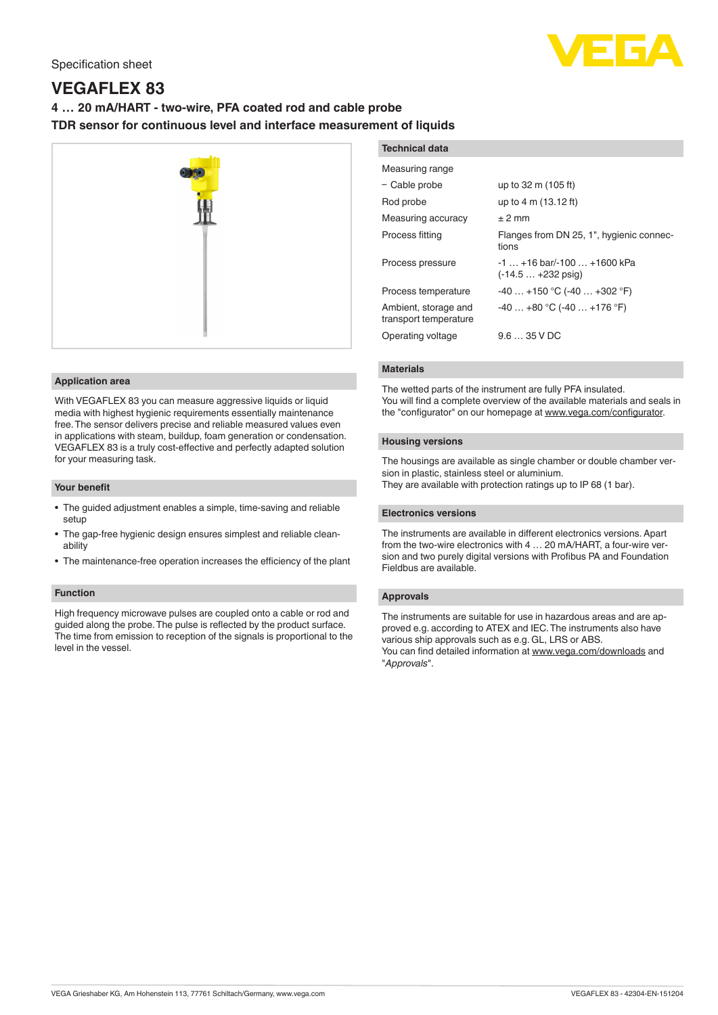

# **VEGAFLEX 83**

# **4 … 20 mA/HART - two-wire, PFA coated rod and cable probe TDR sensor for continuous level and interface measurement of liquids**



# **Application area**

With VEGAFLEX 83 you can measure aggressive liquids or liquid media with highest hygienic requirements essentially maintenance free. The sensor delivers precise and reliable measured values even in applications with steam, buildup, foam generation or condensation. VEGAFLEX 83 is a truly cost-effective and perfectly adapted solution for your measuring task.

#### **Your benefit**

- The guided adjustment enables a simple, time-saving and reliable setup
- The gap-free hygienic design ensures simplest and reliable cleanability
- The maintenance-free operation increases the efficiency of the plant

# **Function**

High frequency microwave pulses are coupled onto a cable or rod and guided along the probe. The pulse is reflected by the product surface. The time from emission to reception of the signals is proportional to the level in the vessel.

| <b>Technical data</b>                         |                                                              |
|-----------------------------------------------|--------------------------------------------------------------|
| Measuring range                               |                                                              |
| - Cable probe                                 | up to 32 m (105 ft)                                          |
| Rod probe                                     | up to 4 m (13.12 ft)                                         |
| Measuring accuracy                            | $±$ 2 mm                                                     |
| Process fitting                               | Flanges from DN 25, 1", hygienic connec-<br>tions            |
| Process pressure                              | $-1$ +16 bar/-100  +1600 kPa<br>$(-14.5 + 232 \text{ psiq})$ |
| Process temperature                           | $-40+150$ °C (-40  +302 °F)                                  |
| Ambient, storage and<br>transport temperature | $-40+80$ °C ( $-40+176$ °F)                                  |
| Operating voltage                             | $9.635$ V DC                                                 |

#### **Materials**

The wetted parts of the instrument are fully PFA insulated. You will find a complete overview of the available materials and seals in the "configurator" on our homepage at [www.vega.com/configurator](http://www.vega.com/configurator).

# **Housing versions**

The housings are available as single chamber or double chamber version in plastic, stainless steel or aluminium. They are available with protection ratings up to IP 68 (1 bar).

#### **Electronics versions**

The instruments are available in different electronics versions. Apart from the two-wire electronics with 4 … 20 mA/HART, a four-wire version and two purely digital versions with Profibus PA and Foundation Fieldbus are available.

# **Approvals**

The instruments are suitable for use in hazardous areas and are approved e.g. according to ATEX and IEC. The instruments also have various ship approvals such as e.g. GL, LRS or ABS.

You can find detailed information at [www.vega.com/downloads](http://www.vega.com/downloads) and "*Approvals*".